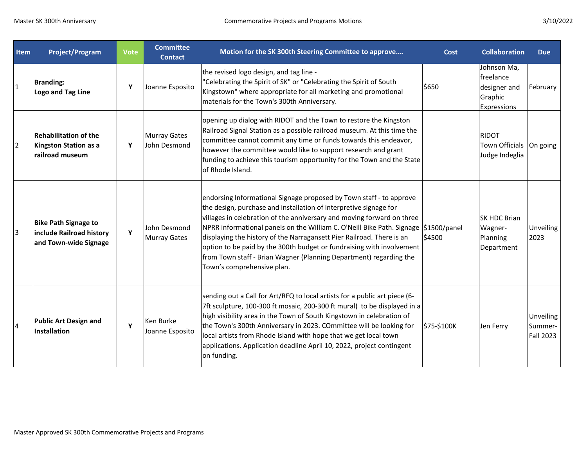| <b>Item</b>    | <b>Project/Program</b>                                                           | <b>Vote</b> | <b>Committee</b><br><b>Contact</b>  | Motion for the SK 300th Steering Committee to approve                                                                                                                                                                                                                                                                                                                                                                                                                                                                                                           | Cost        | <b>Collaboration</b>                                               | <b>Due</b>                               |
|----------------|----------------------------------------------------------------------------------|-------------|-------------------------------------|-----------------------------------------------------------------------------------------------------------------------------------------------------------------------------------------------------------------------------------------------------------------------------------------------------------------------------------------------------------------------------------------------------------------------------------------------------------------------------------------------------------------------------------------------------------------|-------------|--------------------------------------------------------------------|------------------------------------------|
| 1              | <b>Branding:</b><br>Logo and Tag Line                                            | Υ           | Joanne Esposito                     | the revised logo design, and tag line -<br>"Celebrating the Spirit of SK" or "Celebrating the Spirit of South<br>Kingstown" where appropriate for all marketing and promotional<br>materials for the Town's 300th Anniversary.                                                                                                                                                                                                                                                                                                                                  | \$650       | Johnson Ma,<br>freelance<br>designer and<br>Graphic<br>Expressions | February                                 |
| $\overline{2}$ | <b>Rehabilitation of the</b><br>Kingston Station as a<br>railroad museum         | Y           | <b>Murray Gates</b><br>John Desmond | opening up dialog with RIDOT and the Town to restore the Kingston<br>Railroad Signal Station as a possible railroad museum. At this time the<br>committee cannot commit any time or funds towards this endeavor,<br>however the committee would like to support research and grant<br>funding to achieve this tourism opportunity for the Town and the State<br>of Rhode Island.                                                                                                                                                                                |             | RIDOT<br>Town Officials   On going<br>Judge Indeglia               |                                          |
| 3              | <b>Bike Path Signage to</b><br>include Railroad history<br>and Town-wide Signage | Y           | John Desmond<br><b>Murray Gates</b> | endorsing Informational Signage proposed by Town staff - to approve<br>the design, purchase and installation of interpretive signage for<br>villages in celebration of the anniversary and moving forward on three<br>NPRR informational panels on the William C. O'Neill Bike Path. Signage \$1500/panel<br>displaying the history of the Narragansett Pier Railroad. There is an<br>option to be paid by the 300th budget or fundraising with involvement<br>from Town staff - Brian Wagner (Planning Department) regarding the<br>Town's comprehensive plan. | \$4500      | SK HDC Brian<br>Wagner-<br>Planning<br>Department                  | <b>Unveiling</b><br>2023                 |
| 4              | <b>Public Art Design and</b><br>Installation                                     | Y           | Ken Burke<br>Joanne Esposito        | sending out a Call for Art/RFQ to local artists for a public art piece (6-<br>7ft sculpture, 100-300 ft mosaic, 200-300 ft mural) to be displayed in a<br>high visibility area in the Town of South Kingstown in celebration of<br>the Town's 300th Anniversary in 2023. COmmittee will be looking for<br>local artists from Rhode Island with hope that we get local town<br>applications. Application deadline April 10, 2022, project contingent<br>on funding.                                                                                              | \$75-\$100K | Jen Ferry                                                          | <b>Unveiling</b><br>Summer-<br>Fall 2023 |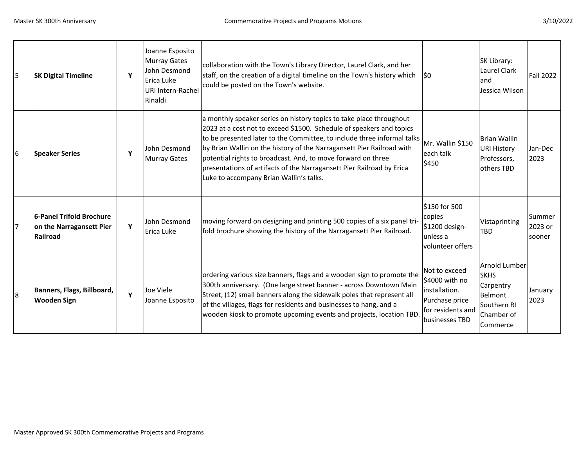| 5  | <b>SK Digital Timeline</b>                                       | Υ | Joanne Esposito<br>Murray Gates<br>John Desmond<br>Erica Luke<br>URI Intern-Rachel<br>Rinaldi | collaboration with the Town's Library Director, Laurel Clark, and her<br>staff, on the creation of a digital timeline on the Town's history which<br>could be posted on the Town's website.                                                                                                                                                                                                                                                                                         | l\$0                                                                                                      | SK Library:<br>Laurel Clark<br>land<br>Jessica Wilson                                         | <b>Fall 2022</b>            |
|----|------------------------------------------------------------------|---|-----------------------------------------------------------------------------------------------|-------------------------------------------------------------------------------------------------------------------------------------------------------------------------------------------------------------------------------------------------------------------------------------------------------------------------------------------------------------------------------------------------------------------------------------------------------------------------------------|-----------------------------------------------------------------------------------------------------------|-----------------------------------------------------------------------------------------------|-----------------------------|
| l6 | <b>Speaker Series</b>                                            | Y | John Desmond<br>Murray Gates                                                                  | a monthly speaker series on history topics to take place throughout<br>2023 at a cost not to exceed \$1500. Schedule of speakers and topics<br>to be presented later to the Committee, to include three informal talks<br>by Brian Wallin on the history of the Narragansett Pier Railroad with<br>potential rights to broadcast. And, to move forward on three<br>presentations of artifacts of the Narragansett Pier Railroad by Erica<br>Luke to accompany Brian Wallin's talks. | Mr. Wallin \$150<br>leach talk<br>\$450                                                                   | <b>Brian Wallin</b><br><b>URI History</b><br>Professors,<br>others TBD                        | Jan-Dec<br>2023             |
| 17 | 6-Panel Trifold Brochure<br>on the Narragansett Pier<br>Railroad | Y | John Desmond<br>Erica Luke                                                                    | moving forward on designing and printing 500 copies of a six panel tri-<br>fold brochure showing the history of the Narragansett Pier Railroad.                                                                                                                                                                                                                                                                                                                                     | S150 for 500<br>copies<br>\$1200 design-<br>unless a<br>volunteer offers                                  | Vistaprinting<br><b>TBD</b>                                                                   | Summer<br>2023 or<br>sooner |
| l8 | Banners, Flags, Billboard,<br><b>Wooden Sign</b>                 | Ÿ | Joe Viele<br>Joanne Esposito                                                                  | ordering various size banners, flags and a wooden sign to promote the<br>300th anniversary. (One large street banner - across Downtown Main<br>Street, (12) small banners along the sidewalk poles that represent all<br>of the villages, flags for residents and businesses to hang, and a<br>wooden kiosk to promote upcoming events and projects, location TBD                                                                                                                   | Not to exceed<br>\$4000 with no<br>installation.<br>Purchase price<br>for residents and<br>businesses TBD | Arnold Lumber<br><b>SKHS</b><br>Carpentry<br>Belmont<br>Southern RI<br>Chamber of<br>Commerce | January<br>2023             |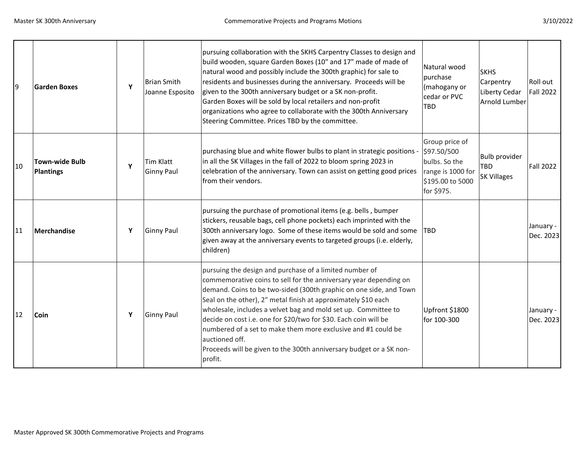10

| 9  | <b>Garden Boxes</b>         | Y | Brian Smith<br>Joanne Esposito | pursuing collaboration with the SKHS Carpentry Classes to design and<br>build wooden, square Garden Boxes (10" and 17" made of made of<br>natural wood and possibly include the 300th graphic) for sale to<br>residents and businesses during the anniversary. Proceeds will be<br>given to the 300th anniversary budget or a SK non-profit.<br>Garden Boxes will be sold by local retailers and non-profit<br>organizations who agree to collaborate with the 300th Anniversary<br>Steering Committee. Prices TBD by the committee.                                            | Natural wood<br>purchase<br>(mahogany or<br>cedar or PVC<br><b>TBD</b>                                | <b>SKHS</b><br>Carpentry<br>Liberty Cedar<br>Arnold Lumber | Roll out<br><b>Fall 2022</b> |
|----|-----------------------------|---|--------------------------------|---------------------------------------------------------------------------------------------------------------------------------------------------------------------------------------------------------------------------------------------------------------------------------------------------------------------------------------------------------------------------------------------------------------------------------------------------------------------------------------------------------------------------------------------------------------------------------|-------------------------------------------------------------------------------------------------------|------------------------------------------------------------|------------------------------|
| 10 | Town-wide Bulb<br>Plantings | Y | Tim Klatt<br>Ginny Paul        | purchasing blue and white flower bulbs to plant in strategic positions -<br>in all the SK Villages in the fall of 2022 to bloom spring 2023 in<br>celebration of the anniversary. Town can assist on getting good prices<br>from their vendors.                                                                                                                                                                                                                                                                                                                                 | Group price of<br>\$97.50/500<br>bulbs. So the<br>range is 1000 for<br>\$195.00 to 5000<br>for \$975. | <b>Bulb provider</b><br><b>TBD</b><br><b>SK Villages</b>   | <b>Fall 2022</b>             |
| 11 | Merchandise                 | Y | Ginny Paul                     | pursuing the purchase of promotional items (e.g. bells, bumper<br>stickers, reusable bags, cell phone pockets) each imprinted with the<br>300th anniversary logo. Some of these items would be sold and some<br>given away at the anniversary events to targeted groups (i.e. elderly,<br>children)                                                                                                                                                                                                                                                                             | <b>ITBD</b>                                                                                           |                                                            | January -<br>Dec. 2023       |
| 12 | Coin                        | Y | Ginny Paul                     | pursuing the design and purchase of a limited number of<br>commemorative coins to sell for the anniversary year depending on<br>demand. Coins to be two-sided (300th graphic on one side, and Town<br>Seal on the other), 2" metal finish at approximately \$10 each<br>wholesale, includes a velvet bag and mold set up. Committee to<br>decide on cost i.e. one for \$20/two for \$30. Each coin will be<br>numbered of a set to make them more exclusive and #1 could be<br>auctioned off.<br>Proceeds will be given to the 300th anniversary budget or a SK non-<br>profit. | Upfront \$1800<br>for 100-300                                                                         |                                                            | January -<br>Dec. 2023       |